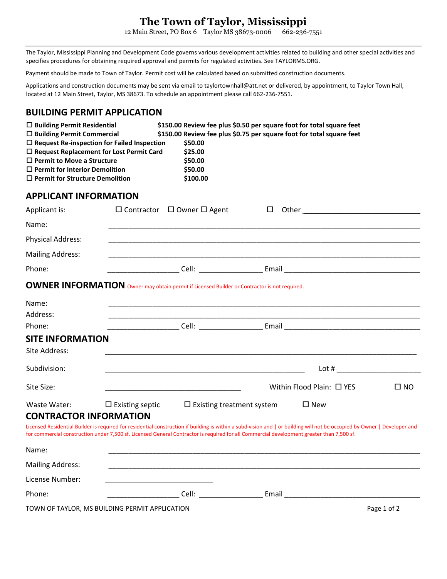# **The Town of Taylor, Mississippi**

12 Main Street, PO Box 6 Taylor MS 38673-0006 662-236-7551

The Taylor, Mississippi Planning and Development Code governs various development activities related to building and other special activities and specifies procedures for obtaining required approval and permits for regulated activities. See TAYLORMS.ORG.

Payment should be made to Town of Taylor. Permit cost will be calculated based on submitted construction documents.

Applications and construction documents may be sent via email to taylortownhall@att.net or delivered, by appointment, to Taylor Town Hall, located at 12 Main Street, Taylor, MS 38673. To schedule an appointment please call 662-236-7551.

### **BUILDING PERMIT APPLICATION**

| $\Box$ Building Permit Residential<br>$\Box$ Building Permit Commercial<br>$\Box$ Permit to Move a Structure<br>$\Box$ Permit for Interior Demolition<br>$\Box$ Permit for Structure Demolition | $\Box$ Request Re-inspection for Failed Inspection<br>$\Box$ Request Replacement for Lost Permit Card | \$50.00<br>\$25.00<br>\$50.00<br>\$50.00<br>\$100.00                                                | \$150.00 Review fee plus \$0.50 per square foot for total square feet<br>\$150.00 Review fee plus \$0.75 per square foot for total square feet                                                                                                                                                                         |                   |
|-------------------------------------------------------------------------------------------------------------------------------------------------------------------------------------------------|-------------------------------------------------------------------------------------------------------|-----------------------------------------------------------------------------------------------------|------------------------------------------------------------------------------------------------------------------------------------------------------------------------------------------------------------------------------------------------------------------------------------------------------------------------|-------------------|
| <b>APPLICANT INFORMATION</b>                                                                                                                                                                    |                                                                                                       |                                                                                                     |                                                                                                                                                                                                                                                                                                                        |                   |
| Applicant is:                                                                                                                                                                                   |                                                                                                       | $\Box$ Contractor $\Box$ Owner $\Box$ Agent                                                         | □<br>Other the contract of the contract of the contract of the contract of the contract of the contract of the contract of the contract of the contract of the contract of the contract of the contract of the contract of the cont                                                                                    |                   |
| Name:                                                                                                                                                                                           |                                                                                                       |                                                                                                     |                                                                                                                                                                                                                                                                                                                        |                   |
| Physical Address:                                                                                                                                                                               |                                                                                                       |                                                                                                     |                                                                                                                                                                                                                                                                                                                        |                   |
| <b>Mailing Address:</b>                                                                                                                                                                         |                                                                                                       |                                                                                                     |                                                                                                                                                                                                                                                                                                                        |                   |
| Phone:                                                                                                                                                                                          |                                                                                                       |                                                                                                     |                                                                                                                                                                                                                                                                                                                        |                   |
|                                                                                                                                                                                                 |                                                                                                       | <b>OWNER INFORMATION</b> Owner may obtain permit if Licensed Builder or Contractor is not required. |                                                                                                                                                                                                                                                                                                                        |                   |
| Name:<br>Address:                                                                                                                                                                               |                                                                                                       |                                                                                                     |                                                                                                                                                                                                                                                                                                                        |                   |
| Phone:                                                                                                                                                                                          |                                                                                                       |                                                                                                     |                                                                                                                                                                                                                                                                                                                        |                   |
| <b>SITE INFORMATION</b><br>Site Address:                                                                                                                                                        |                                                                                                       |                                                                                                     |                                                                                                                                                                                                                                                                                                                        |                   |
| Subdivision:                                                                                                                                                                                    |                                                                                                       |                                                                                                     |                                                                                                                                                                                                                                                                                                                        | $\mathsf{Lot}~\#$ |
| Site Size:                                                                                                                                                                                      |                                                                                                       |                                                                                                     | Within Flood Plain: □ YES                                                                                                                                                                                                                                                                                              | $\square$ NO      |
| Waste Water:                                                                                                                                                                                    | $\square$ Existing septic                                                                             | $\Box$ Existing treatment system                                                                    | $\square$ New                                                                                                                                                                                                                                                                                                          |                   |
| <b>CONTRACTOR INFORMATION</b>                                                                                                                                                                   |                                                                                                       |                                                                                                     | Licensed Residential Builder is required for residential construction if building is within a subdivision and   or building will not be occupied by Owner   Developer and<br>for commercial construction under 7,500 sf. Licensed General Contractor is required for all Commercial development greater than 7,500 sf. |                   |
| Name:                                                                                                                                                                                           |                                                                                                       |                                                                                                     |                                                                                                                                                                                                                                                                                                                        |                   |
| <b>Mailing Address:</b>                                                                                                                                                                         |                                                                                                       |                                                                                                     |                                                                                                                                                                                                                                                                                                                        |                   |
| License Number:                                                                                                                                                                                 |                                                                                                       |                                                                                                     |                                                                                                                                                                                                                                                                                                                        |                   |

| יאס.<br>__ | --<br>$\sim$ $\sim$<br>______ | ---- | _________ |
|------------|-------------------------------|------|-----------|
|            |                               |      |           |

TOWN OF TAYLOR, MS BUILDING PERMIT APPLICATION **Page 1** of 2